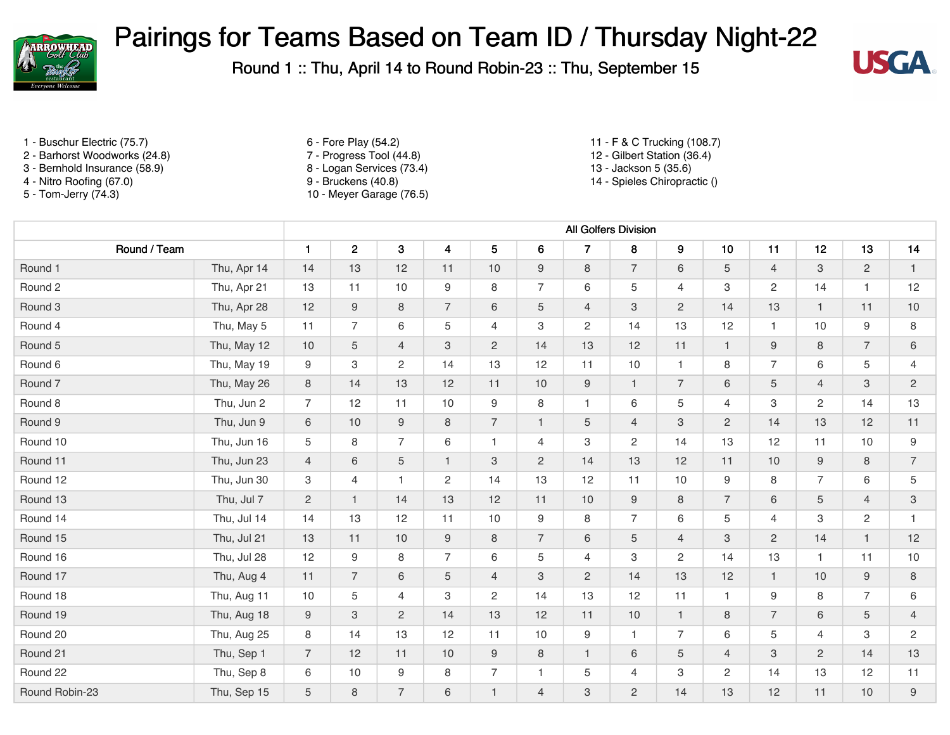



- 1 Buschur Electric (75.7) 6 Fore Play (54.2) 11 F & C Trucking (108.7)
- 2 Barhorst Woodworks (24.8) <br>2 Barhorst Woodworks (24.8) <br>2 Bernhold Insurance (58.9) <br>2 Bernhold Insurance (58.9) <br>3 Logan Services (73.4) <br>3 Sernhold Insurance (58.9)
- 3 Bernhold Insurance (58.9) <br>3 Nitro Roofing (67.0) <br>3 Bruckens (40.8) <br>3 Bruckens (40.8) <br>3 Bruckens (40.8) <br>3 Spieles Chiroprac
- 
- 
- 
- 
- 
- 
- 5 Tom-Jerry (74.3) 10 Meyer Garage (76.5)
- 
- 
- 
- 14 Spieles Chiropractic ()

|                    |             | All Golfers Division |                |                |                  |                |                |                           |                  |                           |                |                |                |                |                           |
|--------------------|-------------|----------------------|----------------|----------------|------------------|----------------|----------------|---------------------------|------------------|---------------------------|----------------|----------------|----------------|----------------|---------------------------|
| Round / Team       |             | $\mathbf{1}$         | $\overline{2}$ | 3              | $\overline{4}$   | 5              | 6              | $\overline{7}$            | $\bf8$           | $\boldsymbol{9}$          | 10             | 11             | 12             | 13             | 14                        |
| Round 1            | Thu, Apr 14 | 14                   | 13             | 12             | 11               | 10             | $9\,$          | $\,8\,$                   | $\overline{7}$   | $\,6\,$                   | 5              | $\overline{4}$ | 3              | $\overline{2}$ | $\mathbf{1}$              |
| Round 2            | Thu, Apr 21 | 13                   | 11             | 10             | 9                | 8              | $\overline{7}$ | $\,6$                     | 5                | $\overline{4}$            | 3              | 2              | 14             | $\mathbf{1}$   | 12                        |
| Round 3            | Thu, Apr 28 | 12                   | 9              | 8              | $\overline{7}$   | 6              | 5              | $\overline{4}$            | 3                | $\overline{c}$            | 14             | 13             | $\mathbf{1}$   | 11             | 10                        |
| Round 4            | Thu, May 5  | 11                   | $\overline{7}$ | 6              | 5                | 4              | 3              | $\mathbf{2}$              | 14               | 13                        | 12             | $\mathbf{1}$   | 10             | 9              | 8                         |
| Round 5            | Thu, May 12 | 10                   | $\sqrt{5}$     | $\overline{4}$ | 3                | $\overline{2}$ | 14             | 13                        | 12               | 11                        | $\mathbf{1}$   | 9              | 8              | $\overline{7}$ | $6\,$                     |
| Round 6            | Thu, May 19 | 9                    | 3              | $\overline{c}$ | 14               | 13             | 12             | 11                        | $10$             | $\mathbf{1}$              | 8              | $\overline{7}$ | 6              | 5              | $\overline{4}$            |
| Round <sub>7</sub> | Thu, May 26 | 8                    | 14             | 13             | 12               | 11             | 10             | $\boldsymbol{9}$          | $\mathbf{1}$     | $\overline{7}$            | 6              | 5              | $\overline{4}$ | 3              | $\overline{c}$            |
| Round 8            | Thu, Jun 2  | $\overline{7}$       | 12             | 11             | 10               | 9              | 8              | $\mathbf{1}$              | 6                | $\,$ 5 $\,$               | 4              | 3              | $\overline{c}$ | 14             | 13                        |
| Round 9            | Thu, Jun 9  | 6                    | $10$           | $9$            | 8                | $\overline{7}$ | $\mathbf{1}$   | $\sqrt{5}$                | $\overline{4}$   | $\ensuremath{\mathsf{3}}$ | $\overline{2}$ | 14             | 13             | 12             | 11                        |
| Round 10           | Thu, Jun 16 | 5                    | 8              | $\overline{7}$ | 6                | $\mathbf{1}$   | $\overline{4}$ | $\ensuremath{\mathsf{3}}$ | $\overline{c}$   | 14                        | 13             | 12             | 11             | 10             | 9                         |
| Round 11           | Thu, Jun 23 | $\overline{4}$       | 6              | 5              | $\mathbf{1}$     | 3              | $\overline{c}$ | 14                        | 13               | 12                        | 11             | $10$           | $\hbox{9}$     | 8              | $\overline{7}$            |
| Round 12           | Thu, Jun 30 | З                    | $\overline{4}$ | 1              | 2                | 14             | 13             | 12                        | 11               | 10                        | 9              | 8              | $\overline{7}$ | 6              | 5                         |
| Round 13           | Thu, Jul 7  | $\sqrt{2}$           | $\overline{1}$ | 14             | 13               | 12             | 11             | $10$                      | $\boldsymbol{9}$ | $\,8\,$                   | $\overline{7}$ | 6              | 5              | $\overline{4}$ | $\ensuremath{\mathsf{3}}$ |
| Round 14           | Thu, Jul 14 | 14                   | 13             | 12             | 11               | 10             | 9              | 8                         | $\overline{7}$   | 6                         | 5              | $\overline{4}$ | 3              | $\overline{2}$ | $\mathbf{1}$              |
| Round 15           | Thu, Jul 21 | 13                   | 11             | 10             | $\boldsymbol{9}$ | 8              | $\overline{7}$ | $\,6\,$                   | $\mathbf 5$      | $\overline{4}$            | 3              | $\overline{2}$ | 14             | $\mathbf{1}$   | 12                        |
| Round 16           | Thu, Jul 28 | 12                   | 9              | 8              | $\overline{7}$   | 6              | 5              | $\overline{4}$            | 3                | $\mathbf{2}$              | 14             | 13             | $\mathbf{1}$   | 11             | 10                        |
| Round 17           | Thu, Aug 4  | 11                   | $\overline{7}$ | 6              | 5                | $\overline{4}$ | 3              | $\overline{2}$            | 14               | 13                        | 12             | $\mathbf{1}$   | 10             | 9              | 8                         |
| Round 18           | Thu, Aug 11 | 10                   | 5              | $\overline{4}$ | 3                | $\mathbf{2}$   | 14             | 13                        | 12               | 11                        | 1              | 9              | 8              | $\overline{7}$ | 6                         |
| Round 19           | Thu, Aug 18 | 9                    | 3              | $\overline{2}$ | 14               | 13             | 12             | 11                        | 10               | $\mathbf{1}$              | 8              | $\overline{7}$ | 6              | 5              | $\overline{4}$            |
| Round 20           | Thu, Aug 25 | 8                    | 14             | 13             | 12               | 11             | 10             | $\boldsymbol{9}$          | $\mathbf{1}$     | $\overline{7}$            | 6              | 5              | $\overline{4}$ | 3              | $\overline{c}$            |
| Round 21           | Thu, Sep 1  | $\overline{7}$       | 12             | 11             | 10               | 9              | 8              | $\overline{1}$            | $\,6\,$          | $\sqrt{5}$                | $\overline{4}$ | 3              | $\overline{2}$ | 14             | 13                        |
| Round 22           | Thu, Sep 8  | 6                    | 10             | 9              | 8                | $\overline{7}$ | $\mathbf{1}$   | 5                         | $\overline{4}$   | $\ensuremath{\mathsf{3}}$ | 2              | 14             | 13             | 12             | 11                        |
| Round Robin-23     | Thu, Sep 15 | 5                    | $\,8\,$        | $\overline{7}$ | $\,6\,$          | $\mathbf{1}$   | $\overline{4}$ | $\ensuremath{\mathsf{3}}$ | $\mathbf{2}$     | 14                        | 13             | 12             | 11             | 10             | $\hbox{9}$                |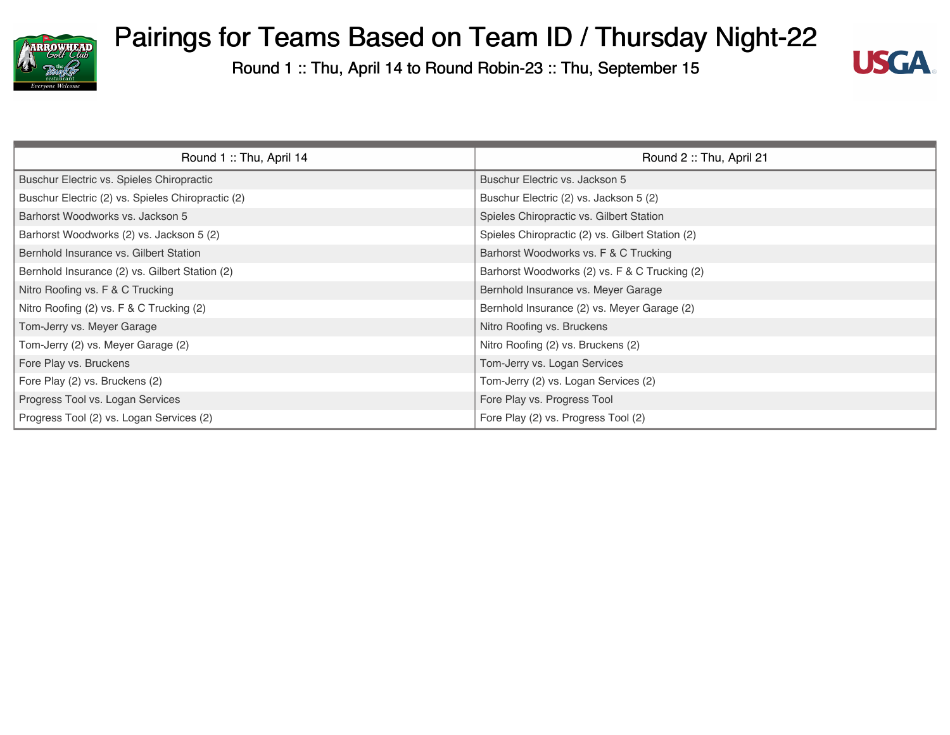



| Round 1: Thu, April 14                            | Round 2: Thu, April 21                           |
|---------------------------------------------------|--------------------------------------------------|
| Buschur Electric vs. Spieles Chiropractic         | Buschur Electric vs. Jackson 5                   |
| Buschur Electric (2) vs. Spieles Chiropractic (2) | Buschur Electric (2) vs. Jackson 5 (2)           |
| Barhorst Woodworks vs. Jackson 5                  | Spieles Chiropractic vs. Gilbert Station         |
| Barhorst Woodworks (2) vs. Jackson 5 (2)          | Spieles Chiropractic (2) vs. Gilbert Station (2) |
| Bernhold Insurance vs. Gilbert Station            | Barhorst Woodworks vs. F & C Trucking            |
| Bernhold Insurance (2) vs. Gilbert Station (2)    | Barhorst Woodworks (2) vs. F & C Trucking (2)    |
| Nitro Roofing vs. F & C Trucking                  | Bernhold Insurance vs. Meyer Garage              |
| Nitro Roofing (2) vs. F & C Trucking (2)          | Bernhold Insurance (2) vs. Meyer Garage (2)      |
| Tom-Jerry vs. Meyer Garage                        | Nitro Roofing vs. Bruckens                       |
| Tom-Jerry (2) vs. Meyer Garage (2)                | Nitro Roofing (2) vs. Bruckens (2)               |
| Fore Play vs. Bruckens                            | Tom-Jerry vs. Logan Services                     |
| Fore Play (2) vs. Bruckens (2)                    | Tom-Jerry (2) vs. Logan Services (2)             |
| Progress Tool vs. Logan Services                  | Fore Play vs. Progress Tool                      |
| Progress Tool (2) vs. Logan Services (2)          | Fore Play (2) vs. Progress Tool (2)              |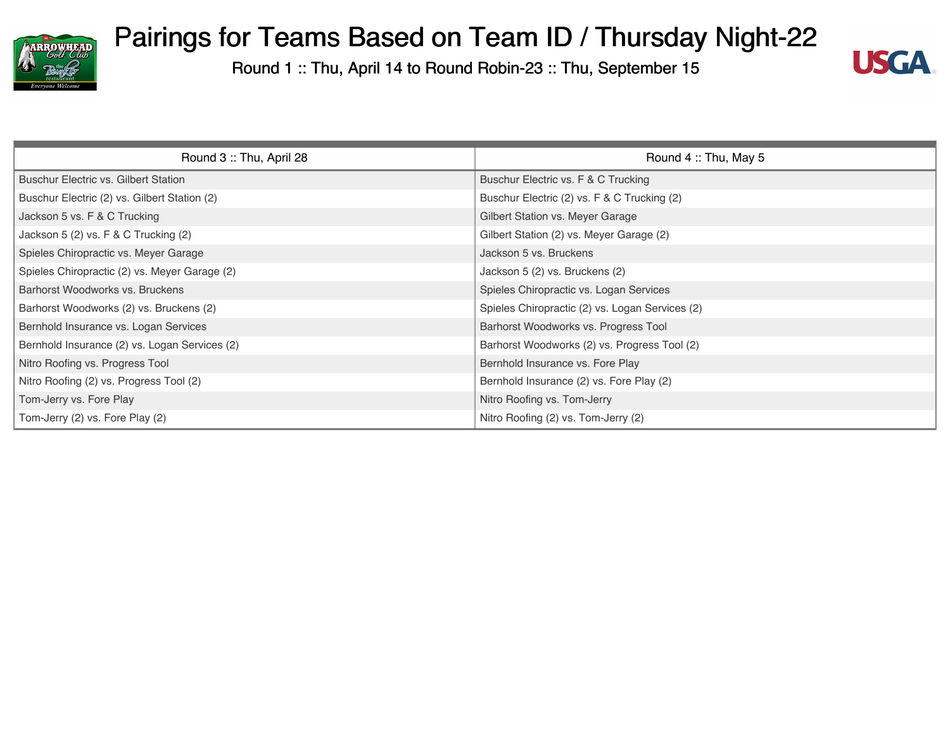



| Round 3: Thu, April 28                        | Round 4: Thu, May 5                             |
|-----------------------------------------------|-------------------------------------------------|
| <b>Buschur Electric vs. Gilbert Station</b>   | Buschur Electric vs. F & C Trucking             |
| Buschur Electric (2) vs. Gilbert Station (2)  | Buschur Electric (2) vs. F & C Trucking (2)     |
| Jackson 5 vs. F & C Trucking                  | Gilbert Station vs. Meyer Garage                |
| Jackson 5 (2) vs. F & C Trucking (2)          | Gilbert Station (2) vs. Meyer Garage (2)        |
| Spieles Chiropractic vs. Meyer Garage         | Jackson 5 vs. Bruckens                          |
| Spieles Chiropractic (2) vs. Meyer Garage (2) | Jackson 5 (2) vs. Bruckens (2)                  |
| Barhorst Woodworks vs. Bruckens               | Spieles Chiropractic vs. Logan Services         |
| Barhorst Woodworks (2) vs. Bruckens (2)       | Spieles Chiropractic (2) vs. Logan Services (2) |
| Bernhold Insurance vs. Logan Services         | Barhorst Woodworks vs. Progress Tool            |
| Bernhold Insurance (2) vs. Logan Services (2) | Barhorst Woodworks (2) vs. Progress Tool (2)    |
| Nitro Roofing vs. Progress Tool               | Bernhold Insurance vs. Fore Play                |
| Nitro Roofing (2) vs. Progress Tool (2)       | Bernhold Insurance (2) vs. Fore Play (2)        |
| Tom-Jerry vs. Fore Play                       | Nitro Roofing vs. Tom-Jerry                     |
| Tom-Jerry (2) vs. Fore Play (2)               | Nitro Roofing (2) vs. Tom-Jerry (2)             |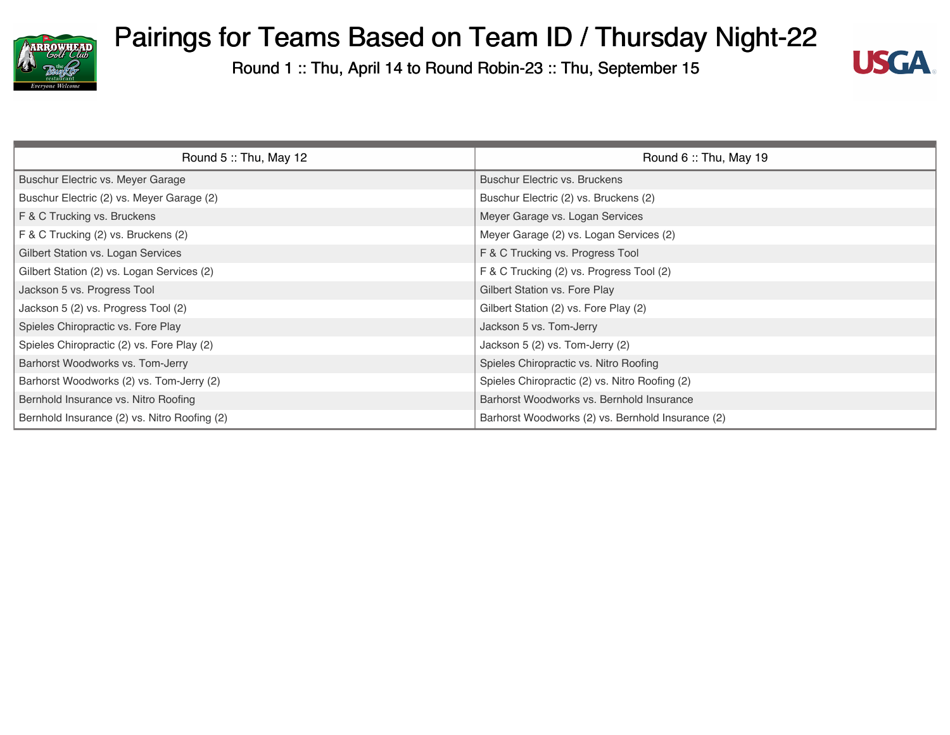



| Round 5: Thu, May 12                         | Round $6::$ Thu, May 19                           |
|----------------------------------------------|---------------------------------------------------|
| Buschur Electric vs. Meyer Garage            | <b>Buschur Electric vs. Bruckens</b>              |
| Buschur Electric (2) vs. Meyer Garage (2)    | Buschur Electric (2) vs. Bruckens (2)             |
| F & C Trucking vs. Bruckens                  | Meyer Garage vs. Logan Services                   |
| F & C Trucking (2) vs. Bruckens (2)          | Meyer Garage (2) vs. Logan Services (2)           |
| Gilbert Station vs. Logan Services           | F & C Trucking vs. Progress Tool                  |
| Gilbert Station (2) vs. Logan Services (2)   | F & C Trucking (2) vs. Progress Tool (2)          |
| Jackson 5 vs. Progress Tool                  | Gilbert Station vs. Fore Play                     |
| Jackson 5 (2) vs. Progress Tool (2)          | Gilbert Station (2) vs. Fore Play (2)             |
| Spieles Chiropractic vs. Fore Play           | Jackson 5 vs. Tom-Jerry                           |
| Spieles Chiropractic (2) vs. Fore Play (2)   | Jackson 5 (2) vs. Tom-Jerry (2)                   |
| Barhorst Woodworks vs. Tom-Jerry             | Spieles Chiropractic vs. Nitro Roofing            |
| Barhorst Woodworks (2) vs. Tom-Jerry (2)     | Spieles Chiropractic (2) vs. Nitro Roofing (2)    |
| Bernhold Insurance vs. Nitro Roofing         | Barhorst Woodworks vs. Bernhold Insurance         |
| Bernhold Insurance (2) vs. Nitro Roofing (2) | Barhorst Woodworks (2) vs. Bernhold Insurance (2) |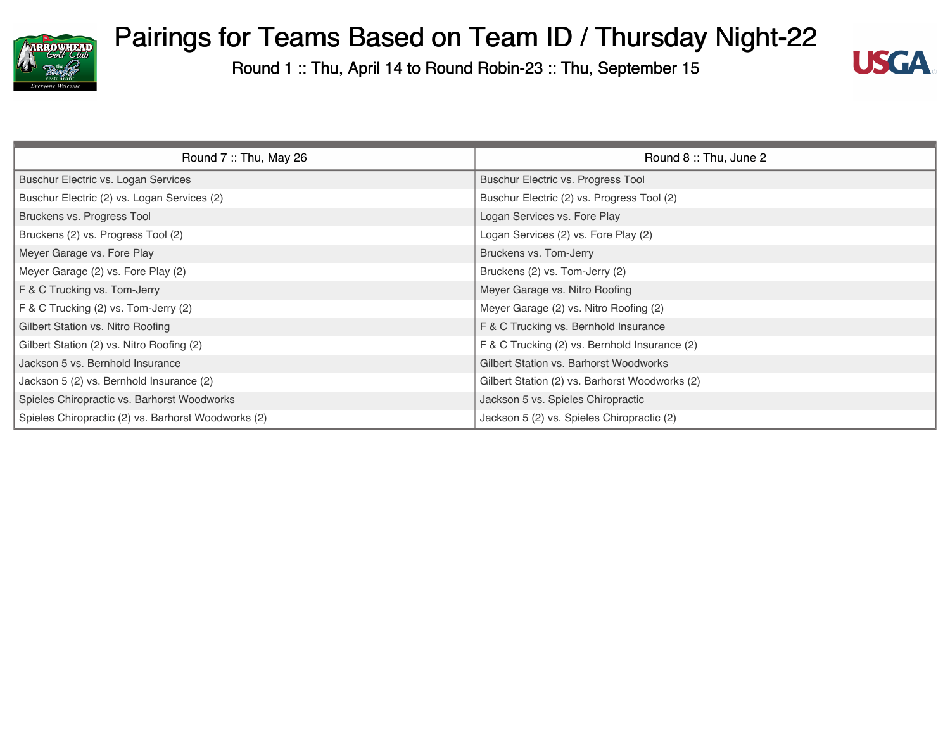



| Round $7::$ Thu, May 26                             | Round 8: Thu, June 2                           |
|-----------------------------------------------------|------------------------------------------------|
| Buschur Electric vs. Logan Services                 | Buschur Electric vs. Progress Tool             |
| Buschur Electric (2) vs. Logan Services (2)         | Buschur Electric (2) vs. Progress Tool (2)     |
| Bruckens vs. Progress Tool                          | Logan Services vs. Fore Play                   |
| Bruckens (2) vs. Progress Tool (2)                  | Logan Services (2) vs. Fore Play (2)           |
| Meyer Garage vs. Fore Play                          | Bruckens vs. Tom-Jerry                         |
| Meyer Garage (2) vs. Fore Play (2)                  | Bruckens (2) vs. Tom-Jerry (2)                 |
| F & C Trucking vs. Tom-Jerry                        | Meyer Garage vs. Nitro Roofing                 |
| F & C Trucking (2) vs. Tom-Jerry (2)                | Meyer Garage (2) vs. Nitro Roofing (2)         |
| Gilbert Station vs. Nitro Roofing                   | F & C Trucking vs. Bernhold Insurance          |
| Gilbert Station (2) vs. Nitro Roofing (2)           | F & C Trucking (2) vs. Bernhold Insurance (2)  |
| Jackson 5 vs. Bernhold Insurance                    | Gilbert Station vs. Barhorst Woodworks         |
| Jackson 5 (2) vs. Bernhold Insurance (2)            | Gilbert Station (2) vs. Barhorst Woodworks (2) |
| Spieles Chiropractic vs. Barhorst Woodworks         | Jackson 5 vs. Spieles Chiropractic             |
| Spieles Chiropractic (2) vs. Barhorst Woodworks (2) | Jackson 5 (2) vs. Spieles Chiropractic (2)     |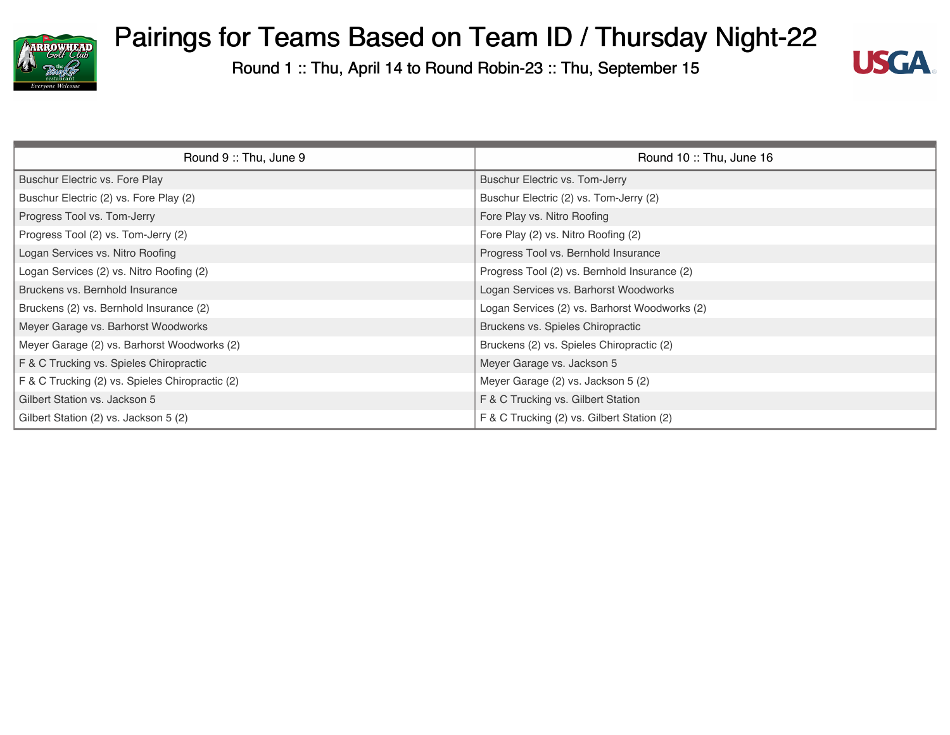



| Round 9: Thu, June 9                            | Round 10: Thu, June 16                        |
|-------------------------------------------------|-----------------------------------------------|
| Buschur Electric vs. Fore Play                  | Buschur Electric vs. Tom-Jerry                |
| Buschur Electric (2) vs. Fore Play (2)          | Buschur Electric (2) vs. Tom-Jerry (2)        |
| Progress Tool vs. Tom-Jerry                     | Fore Play vs. Nitro Roofing                   |
| Progress Tool (2) vs. Tom-Jerry (2)             | Fore Play (2) vs. Nitro Roofing (2)           |
| Logan Services vs. Nitro Roofing                | Progress Tool vs. Bernhold Insurance          |
| Logan Services (2) vs. Nitro Roofing (2)        | Progress Tool (2) vs. Bernhold Insurance (2)  |
| Bruckens vs. Bernhold Insurance                 | Logan Services vs. Barhorst Woodworks         |
| Bruckens (2) vs. Bernhold Insurance (2)         | Logan Services (2) vs. Barhorst Woodworks (2) |
| Meyer Garage vs. Barhorst Woodworks             | Bruckens vs. Spieles Chiropractic             |
| Meyer Garage (2) vs. Barhorst Woodworks (2)     | Bruckens (2) vs. Spieles Chiropractic (2)     |
| F & C Trucking vs. Spieles Chiropractic         | Meyer Garage vs. Jackson 5                    |
| F & C Trucking (2) vs. Spieles Chiropractic (2) | Meyer Garage (2) vs. Jackson 5 (2)            |
| Gilbert Station vs. Jackson 5                   | F & C Trucking vs. Gilbert Station            |
| Gilbert Station (2) vs. Jackson 5 (2)           | F & C Trucking (2) vs. Gilbert Station (2)    |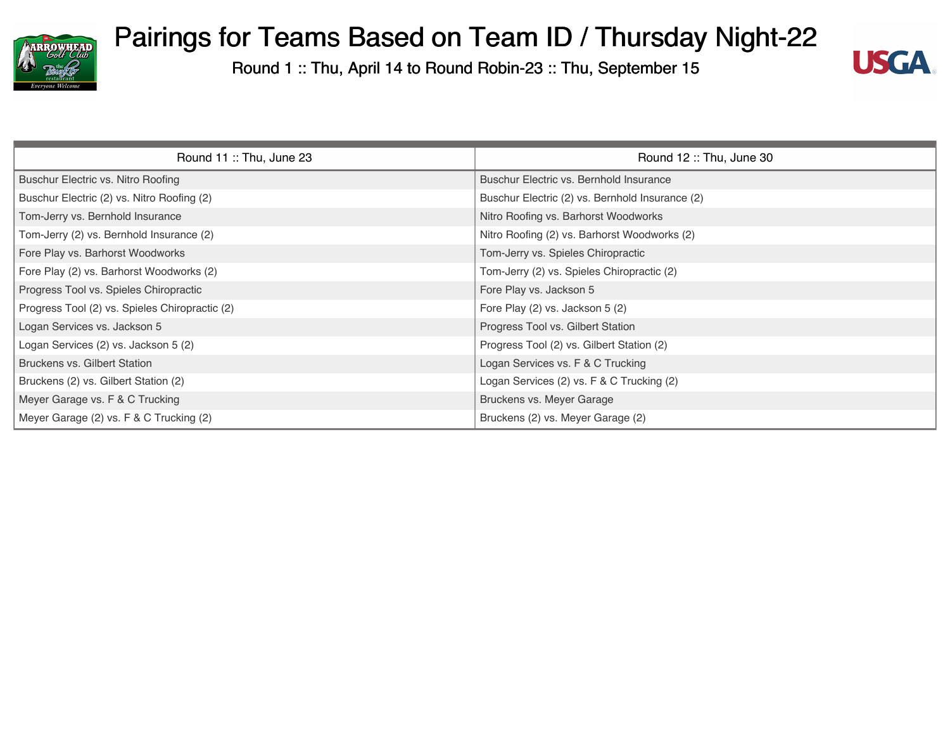



| Round 11: Thu, June 23                         | Round 12: Thu, June 30                          |
|------------------------------------------------|-------------------------------------------------|
| Buschur Electric vs. Nitro Roofing             | Buschur Electric vs. Bernhold Insurance         |
| Buschur Electric (2) vs. Nitro Roofing (2)     | Buschur Electric (2) vs. Bernhold Insurance (2) |
| Tom-Jerry vs. Bernhold Insurance               | Nitro Roofing vs. Barhorst Woodworks            |
| Tom-Jerry (2) vs. Bernhold Insurance (2)       | Nitro Roofing (2) vs. Barhorst Woodworks (2)    |
| Fore Play vs. Barhorst Woodworks               | Tom-Jerry vs. Spieles Chiropractic              |
| Fore Play (2) vs. Barhorst Woodworks (2)       | Tom-Jerry (2) vs. Spieles Chiropractic (2)      |
| Progress Tool vs. Spieles Chiropractic         | Fore Play vs. Jackson 5                         |
| Progress Tool (2) vs. Spieles Chiropractic (2) | Fore Play (2) vs. Jackson 5 (2)                 |
| Logan Services vs. Jackson 5                   | Progress Tool vs. Gilbert Station               |
| Logan Services (2) vs. Jackson 5 (2)           | Progress Tool (2) vs. Gilbert Station (2)       |
| Bruckens vs. Gilbert Station                   | Logan Services vs. F & C Trucking               |
| Bruckens (2) vs. Gilbert Station (2)           | Logan Services (2) vs. F & C Trucking (2)       |
| Meyer Garage vs. F & C Trucking                | Bruckens vs. Meyer Garage                       |
| Meyer Garage (2) vs. F & C Trucking (2)        | Bruckens (2) vs. Meyer Garage (2)               |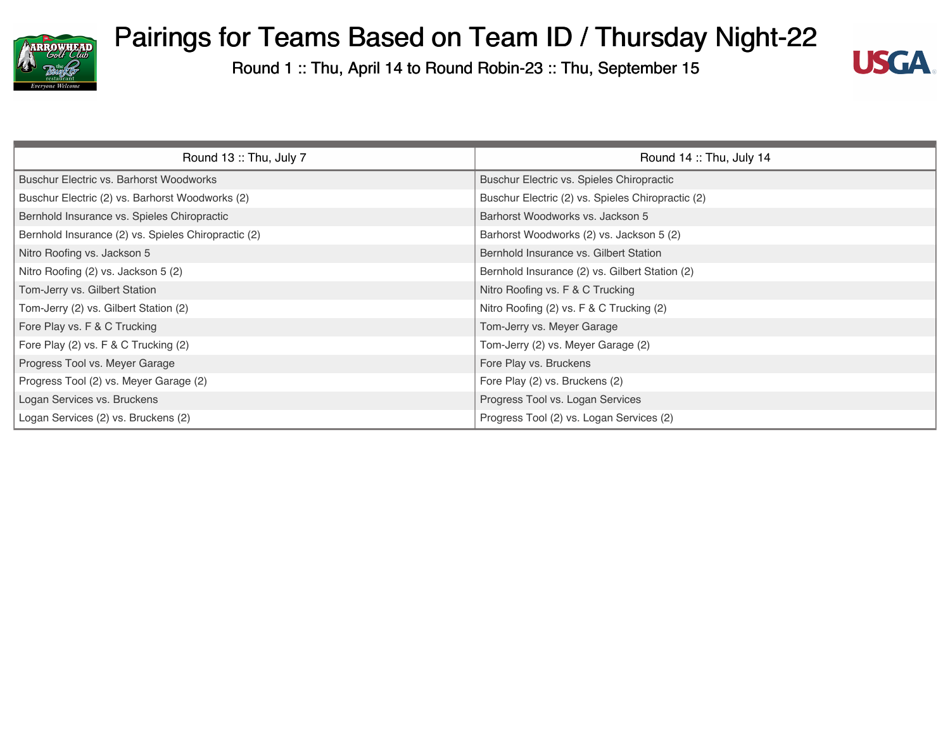



| Round 13: Thu, July 7                               | Round 14: Thu, July 14                            |
|-----------------------------------------------------|---------------------------------------------------|
| Buschur Electric vs. Barhorst Woodworks             | Buschur Electric vs. Spieles Chiropractic         |
| Buschur Electric (2) vs. Barhorst Woodworks (2)     | Buschur Electric (2) vs. Spieles Chiropractic (2) |
| Bernhold Insurance vs. Spieles Chiropractic         | Barhorst Woodworks vs. Jackson 5                  |
| Bernhold Insurance (2) vs. Spieles Chiropractic (2) | Barhorst Woodworks (2) vs. Jackson 5 (2)          |
| Nitro Roofing vs. Jackson 5                         | Bernhold Insurance vs. Gilbert Station            |
| Nitro Roofing (2) vs. Jackson 5 (2)                 | Bernhold Insurance (2) vs. Gilbert Station (2)    |
| Tom-Jerry vs. Gilbert Station                       | Nitro Roofing vs. F & C Trucking                  |
| Tom-Jerry (2) vs. Gilbert Station (2)               | Nitro Roofing (2) vs. F & C Trucking (2)          |
| Fore Play vs. F & C Trucking                        | Tom-Jerry vs. Meyer Garage                        |
| Fore Play (2) vs. F & C Trucking (2)                | Tom-Jerry (2) vs. Meyer Garage (2)                |
| Progress Tool vs. Meyer Garage                      | Fore Play vs. Bruckens                            |
| Progress Tool (2) vs. Meyer Garage (2)              | Fore Play (2) vs. Bruckens (2)                    |
| Logan Services vs. Bruckens                         | Progress Tool vs. Logan Services                  |
| Logan Services (2) vs. Bruckens (2)                 | Progress Tool (2) vs. Logan Services (2)          |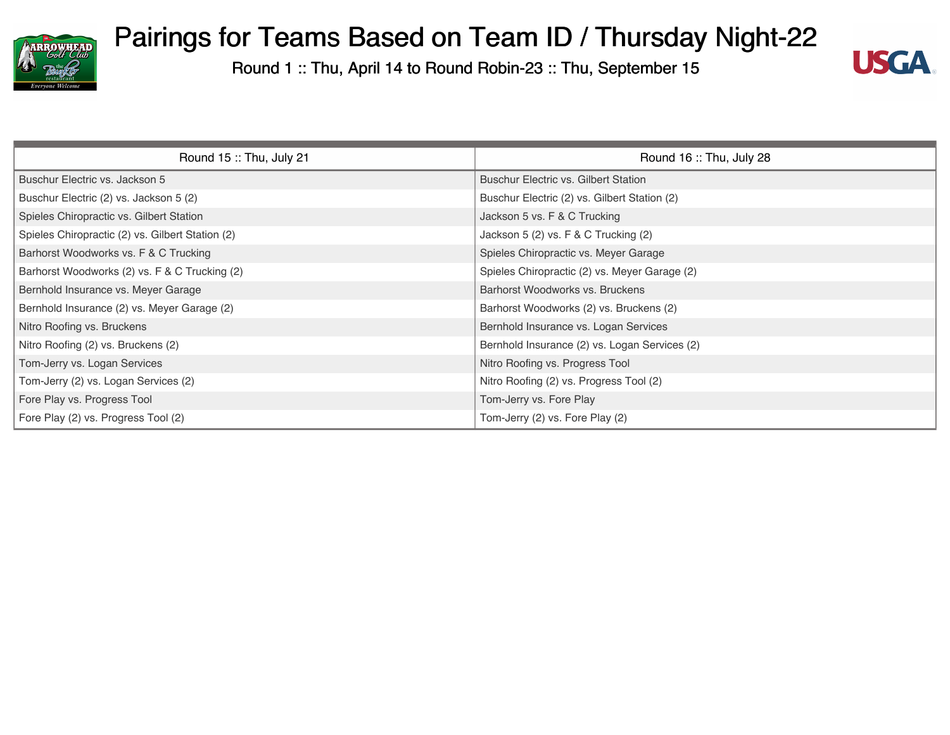



| Round 15: Thu, July 21                           | Round 16: Thu, July 28                        |
|--------------------------------------------------|-----------------------------------------------|
| Buschur Electric vs. Jackson 5                   | <b>Buschur Electric vs. Gilbert Station</b>   |
| Buschur Electric (2) vs. Jackson 5 (2)           | Buschur Electric (2) vs. Gilbert Station (2)  |
| Spieles Chiropractic vs. Gilbert Station         | Jackson 5 vs. F & C Trucking                  |
| Spieles Chiropractic (2) vs. Gilbert Station (2) | Jackson 5 (2) vs. F & C Trucking (2)          |
| Barhorst Woodworks vs. F & C Trucking            | Spieles Chiropractic vs. Meyer Garage         |
| Barhorst Woodworks (2) vs. F & C Trucking (2)    | Spieles Chiropractic (2) vs. Meyer Garage (2) |
| Bernhold Insurance vs. Meyer Garage              | Barhorst Woodworks vs. Bruckens               |
| Bernhold Insurance (2) vs. Meyer Garage (2)      | Barhorst Woodworks (2) vs. Bruckens (2)       |
| Nitro Roofing vs. Bruckens                       | Bernhold Insurance vs. Logan Services         |
| Nitro Roofing (2) vs. Bruckens (2)               | Bernhold Insurance (2) vs. Logan Services (2) |
| Tom-Jerry vs. Logan Services                     | Nitro Roofing vs. Progress Tool               |
| Tom-Jerry (2) vs. Logan Services (2)             | Nitro Roofing (2) vs. Progress Tool (2)       |
| Fore Play vs. Progress Tool                      | Tom-Jerry vs. Fore Play                       |
| Fore Play (2) vs. Progress Tool (2)              | Tom-Jerry (2) vs. Fore Play (2)               |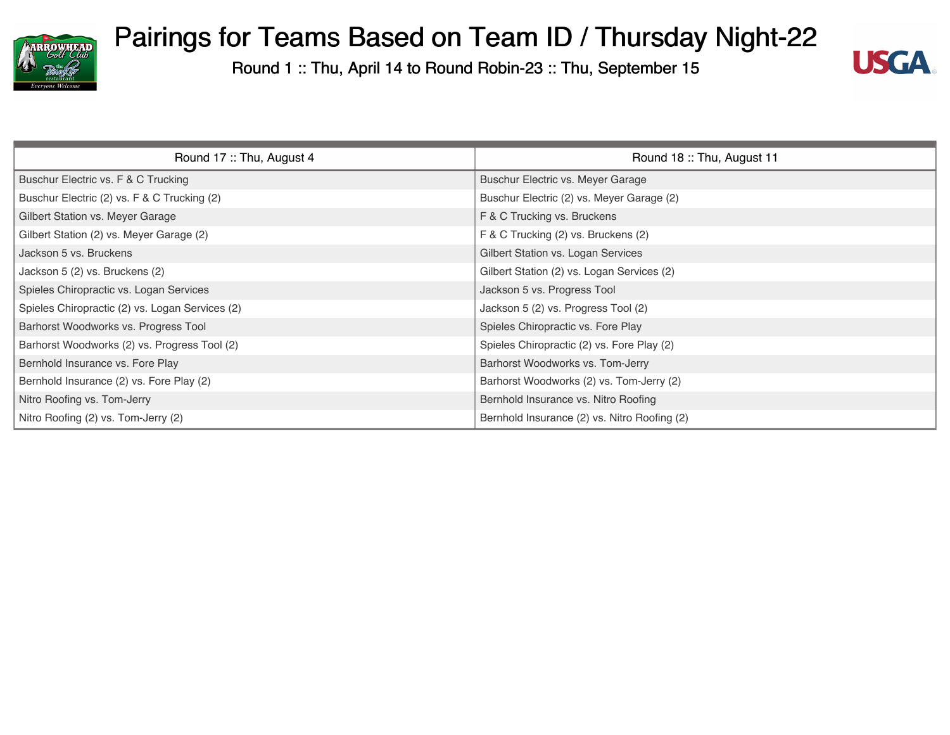



| Round 17: Thu, August 4                         | Round 18: Thu, August 11                     |
|-------------------------------------------------|----------------------------------------------|
| Buschur Electric vs. F & C Trucking             | Buschur Electric vs. Meyer Garage            |
| Buschur Electric (2) vs. F & C Trucking (2)     | Buschur Electric (2) vs. Meyer Garage (2)    |
| Gilbert Station vs. Meyer Garage                | F & C Trucking vs. Bruckens                  |
| Gilbert Station (2) vs. Meyer Garage (2)        | F & C Trucking (2) vs. Bruckens (2)          |
| Jackson 5 vs. Bruckens                          | Gilbert Station vs. Logan Services           |
| Jackson 5 (2) vs. Bruckens (2)                  | Gilbert Station (2) vs. Logan Services (2)   |
| Spieles Chiropractic vs. Logan Services         | Jackson 5 vs. Progress Tool                  |
| Spieles Chiropractic (2) vs. Logan Services (2) | Jackson 5 (2) vs. Progress Tool (2)          |
| Barhorst Woodworks vs. Progress Tool            | Spieles Chiropractic vs. Fore Play           |
| Barhorst Woodworks (2) vs. Progress Tool (2)    | Spieles Chiropractic (2) vs. Fore Play (2)   |
| Bernhold Insurance vs. Fore Play                | Barhorst Woodworks vs. Tom-Jerry             |
| Bernhold Insurance (2) vs. Fore Play (2)        | Barhorst Woodworks (2) vs. Tom-Jerry (2)     |
| Nitro Roofing vs. Tom-Jerry                     | Bernhold Insurance vs. Nitro Roofing         |
| Nitro Roofing (2) vs. Tom-Jerry (2)             | Bernhold Insurance (2) vs. Nitro Roofing (2) |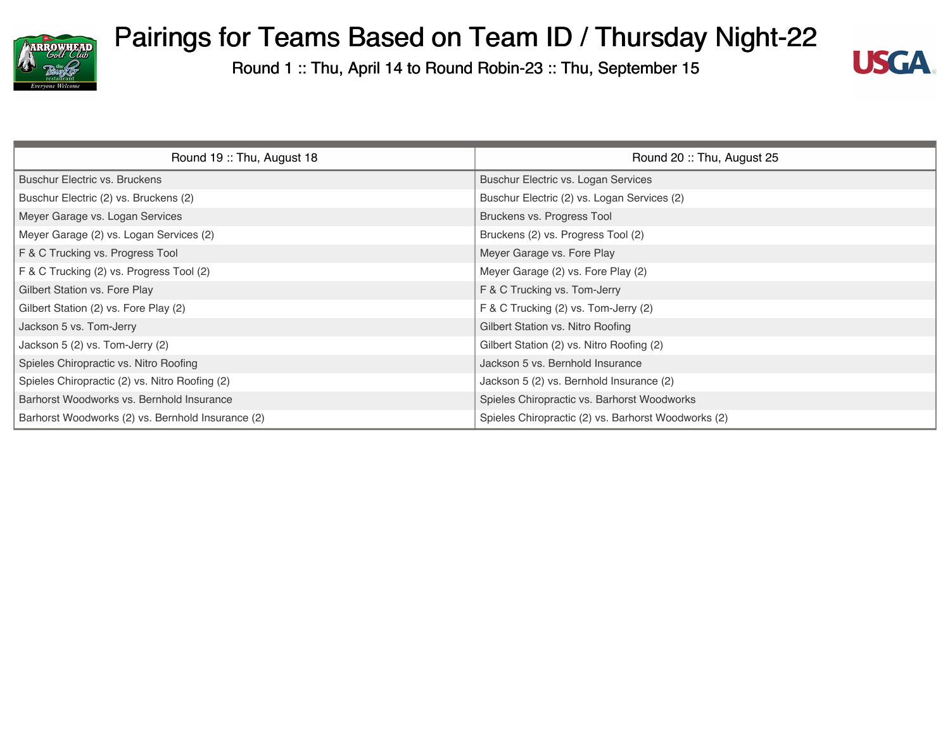



| Round 19: Thu, August 18                          | Round 20: Thu, August 25                            |
|---------------------------------------------------|-----------------------------------------------------|
| <b>Buschur Electric vs. Bruckens</b>              | Buschur Electric vs. Logan Services                 |
| Buschur Electric (2) vs. Bruckens (2)             | Buschur Electric (2) vs. Logan Services (2)         |
| Meyer Garage vs. Logan Services                   | Bruckens vs. Progress Tool                          |
| Meyer Garage (2) vs. Logan Services (2)           | Bruckens (2) vs. Progress Tool (2)                  |
| F & C Trucking vs. Progress Tool                  | Meyer Garage vs. Fore Play                          |
| F & C Trucking (2) vs. Progress Tool (2)          | Meyer Garage (2) vs. Fore Play (2)                  |
| Gilbert Station vs. Fore Play                     | F & C Trucking vs. Tom-Jerry                        |
| Gilbert Station (2) vs. Fore Play (2)             | F & C Trucking (2) vs. Tom-Jerry (2)                |
| Jackson 5 vs. Tom-Jerry                           | Gilbert Station vs. Nitro Roofing                   |
| Jackson 5 (2) vs. Tom-Jerry (2)                   | Gilbert Station (2) vs. Nitro Roofing (2)           |
| Spieles Chiropractic vs. Nitro Roofing            | Jackson 5 vs. Bernhold Insurance                    |
| Spieles Chiropractic (2) vs. Nitro Roofing (2)    | Jackson 5 (2) vs. Bernhold Insurance (2)            |
| Barhorst Woodworks vs. Bernhold Insurance         | Spieles Chiropractic vs. Barhorst Woodworks         |
| Barhorst Woodworks (2) vs. Bernhold Insurance (2) | Spieles Chiropractic (2) vs. Barhorst Woodworks (2) |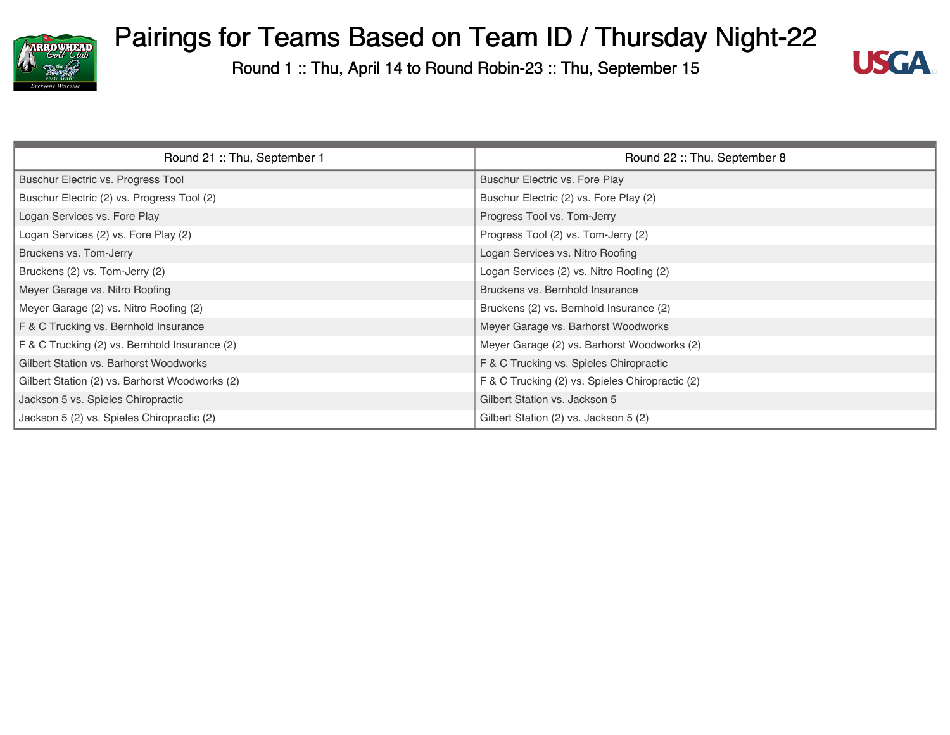



| Round 21: Thu, September 1                     | Round 22: Thu, September 8                      |
|------------------------------------------------|-------------------------------------------------|
| Buschur Electric vs. Progress Tool             | Buschur Electric vs. Fore Play                  |
| Buschur Electric (2) vs. Progress Tool (2)     | Buschur Electric (2) vs. Fore Play (2)          |
| Logan Services vs. Fore Play                   | Progress Tool vs. Tom-Jerry                     |
| Logan Services (2) vs. Fore Play (2)           | Progress Tool (2) vs. Tom-Jerry (2)             |
| Bruckens vs. Tom-Jerry                         | Logan Services vs. Nitro Roofing                |
| Bruckens (2) vs. Tom-Jerry (2)                 | Logan Services (2) vs. Nitro Roofing (2)        |
| Meyer Garage vs. Nitro Roofing                 | Bruckens vs. Bernhold Insurance                 |
| Meyer Garage (2) vs. Nitro Roofing (2)         | Bruckens (2) vs. Bernhold Insurance (2)         |
| F & C Trucking vs. Bernhold Insurance          | Meyer Garage vs. Barhorst Woodworks             |
| F & C Trucking (2) vs. Bernhold Insurance (2)  | Meyer Garage (2) vs. Barhorst Woodworks (2)     |
| Gilbert Station vs. Barhorst Woodworks         | F & C Trucking vs. Spieles Chiropractic         |
| Gilbert Station (2) vs. Barhorst Woodworks (2) | F & C Trucking (2) vs. Spieles Chiropractic (2) |
| Jackson 5 vs. Spieles Chiropractic             | Gilbert Station vs. Jackson 5                   |
| Jackson 5 (2) vs. Spieles Chiropractic (2)     | Gilbert Station (2) vs. Jackson 5 (2)           |